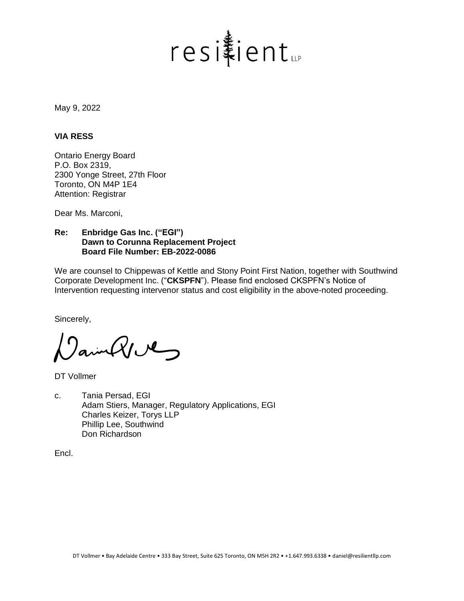

May 9, 2022

#### **VIA RESS**

Ontario Energy Board P.O. Box 2319, 2300 Yonge Street, 27th Floor Toronto, ON M4P 1E4 Attention: Registrar

Dear Ms. Marconi,

## **Re: Enbridge Gas Inc. ("EGI") Dawn to Corunna Replacement Project Board File Number: EB-2022-0086**

We are counsel to Chippewas of Kettle and Stony Point First Nation, together with Southwind Corporate Development Inc. ("**CKSPFN**"). Please find enclosed CKSPFN's Notice of Intervention requesting intervenor status and cost eligibility in the above-noted proceeding.

Sincerely,

ainQue

DT Vollmer

c. Tania Persad, EGI Adam Stiers, Manager, Regulatory Applications, EGI Charles Keizer, Torys LLP Phillip Lee, Southwind Don Richardson

Encl.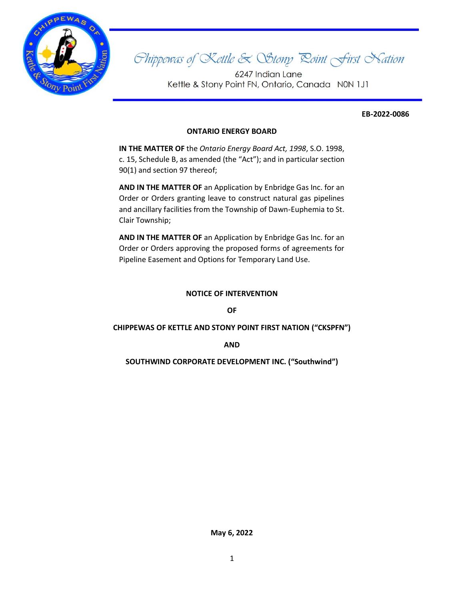

# Shippewas of Kettle & Stony Roint First Nation

6247 Indian Lane Kettle & Stony Point FN, Ontario, Canada N0N 1J1

#### **EB-2022-0086**

## **ONTARIO ENERGY BOARD**

**IN THE MATTER OF** the *Ontario Energy Board Act, 1998*, S.O. 1998, c. 15, Schedule B, as amended (the "Act"); and in particular section 90(1) and section 97 thereof;

**AND IN THE MATTER OF** an Application by Enbridge Gas Inc. for an Order or Orders granting leave to construct natural gas pipelines and ancillary facilities from the Township of Dawn-Euphemia to St. Clair Township;

**AND IN THE MATTER OF** an Application by Enbridge Gas Inc. for an Order or Orders approving the proposed forms of agreements for Pipeline Easement and Options for Temporary Land Use.

#### **NOTICE OF INTERVENTION**

**OF**

#### **CHIPPEWAS OF KETTLE AND STONY POINT FIRST NATION ("CKSPFN")**

**AND**

**SOUTHWIND CORPORATE DEVELOPMENT INC. ("Southwind")**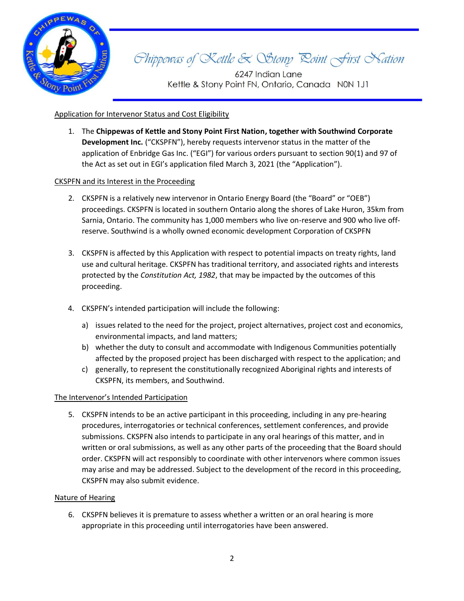

# Chippewas of Kettle & Stony Roint First Nation

6247 Indian Lane Kettle & Stony Point FN, Ontario, Canada N0N 1J1

## Application for Intervenor Status and Cost Eligibility

1. The **Chippewas of Kettle and Stony Point First Nation, together with Southwind Corporate Development Inc.** ("CKSPFN"), hereby requests intervenor status in the matter of the application of Enbridge Gas Inc. ("EGI") for various orders pursuant to section 90(1) and 97 of the Act as set out in EGI's application filed March 3, 2021 (the "Application").

## CKSPFN and its Interest in the Proceeding

- 2. CKSPFN is a relatively new intervenor in Ontario Energy Board (the "Board" or "OEB") proceedings. CKSPFN is located in southern Ontario along the shores of Lake Huron, 35km from Sarnia, Ontario. The community has 1,000 members who live on-reserve and 900 who live offreserve. Southwind is a wholly owned economic development Corporation of CKSPFN
- 3. CKSPFN is affected by this Application with respect to potential impacts on treaty rights, land use and cultural heritage. CKSPFN has traditional territory, and associated rights and interests protected by the *Constitution Act, 1982*, that may be impacted by the outcomes of this proceeding.
- 4. CKSPFN's intended participation will include the following:
	- a) issues related to the need for the project, project alternatives, project cost and economics, environmental impacts, and land matters;
	- b) whether the duty to consult and accommodate with Indigenous Communities potentially affected by the proposed project has been discharged with respect to the application; and
	- c) generally, to represent the constitutionally recognized Aboriginal rights and interests of CKSPFN, its members, and Southwind.

## The Intervenor's Intended Participation

5. CKSPFN intends to be an active participant in this proceeding, including in any pre-hearing procedures, interrogatories or technical conferences, settlement conferences, and provide submissions. CKSPFN also intends to participate in any oral hearings of this matter, and in written or oral submissions, as well as any other parts of the proceeding that the Board should order. CKSPFN will act responsibly to coordinate with other intervenors where common issues may arise and may be addressed. Subject to the development of the record in this proceeding, CKSPFN may also submit evidence.

## Nature of Hearing

6. CKSPFN believes it is premature to assess whether a written or an oral hearing is more appropriate in this proceeding until interrogatories have been answered.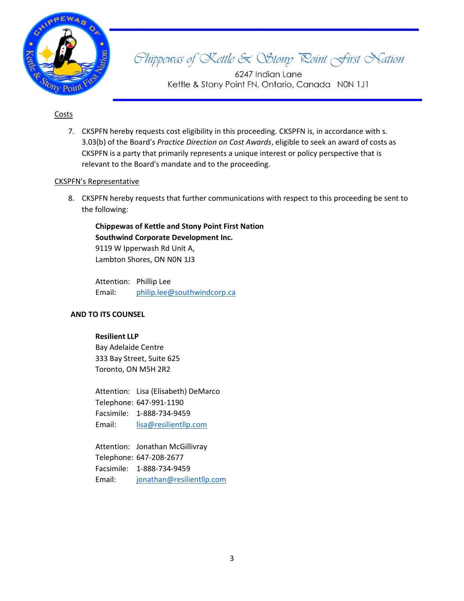

Shippewas of Kettle & Stony Roint First Nation

6247 Indian Lane Kettle & Stony Point FN, Ontario, Canada N0N 1J1

## Costs

7. CKSPFN hereby requests cost eligibility in this proceeding. CKSPFN is, in accordance with s. 3.03(b) of the Board's *Practice Direction on Cost Awards*, eligible to seek an award of costs as CKSPFN is a party that primarily represents a unique interest or policy perspective that is relevant to the Board's mandate and to the proceeding.

## CKSPFN's Representative

8. CKSPFN hereby requests that further communications with respect to this proceeding be sent to the following:

**Chippewas of Kettle and Stony Point First Nation Southwind Corporate Development Inc.** 9119 W Ipperwash Rd Unit A, Lambton Shores, ON N0N 1J3

Attention: Phillip Lee Email: [philip.lee@southwindcorp.ca](mailto:philip.lee@southwindcorp.ca)

## **AND TO ITS COUNSEL**

#### **Resilient LLP**

Bay Adelaide Centre 333 Bay Street, Suite 625 Toronto, ON M5H 2R2

Attention: Lisa (Elisabeth) DeMarco Telephone: 647-991-1190 Facsimile: 1-888-734-9459 Email: [lisa@resilientllp.com](mailto:lisa@resilientllp.com)

Attention: Jonathan McGillivray Telephone: 647-208-2677 Facsimile: 1-888-734-9459 Email: [jonathan@resilientllp.com](mailto:jonathan@resilientllp.com)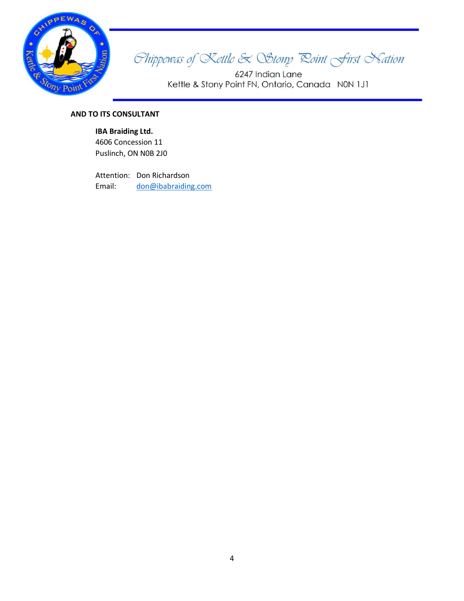

Shippewas of Kettle & Stony Roint First Nation

6247 Indian Lane Kettle & Stony Point FN, Ontario, Canada N0N 1J1

# **AND TO ITS CONSULTANT**

## **IBA Braiding Ltd.**

4606 Concession 11 Puslinch, ON N0B 2J0

Attention: Don Richardson Email: [don@ibabraiding.com](mailto:don@ibabraiding.com)